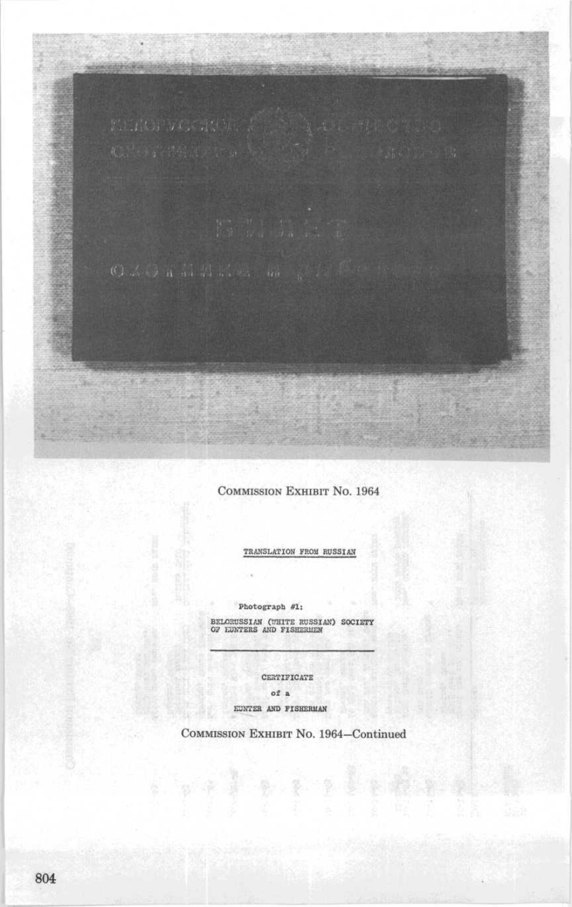COMMISSION EXHIBIT No. 1964

TRANSLATION FROM RUSSIAN

Photograph #1:

BELORUSSIAN (WHITE RUSSIAN) SOCIETY<br>OF LUNTERS AND FISHERMEN

CERTIFICATE

of a

EUNTER AND FISHERMAN

化丙基 医 鱼 医鼻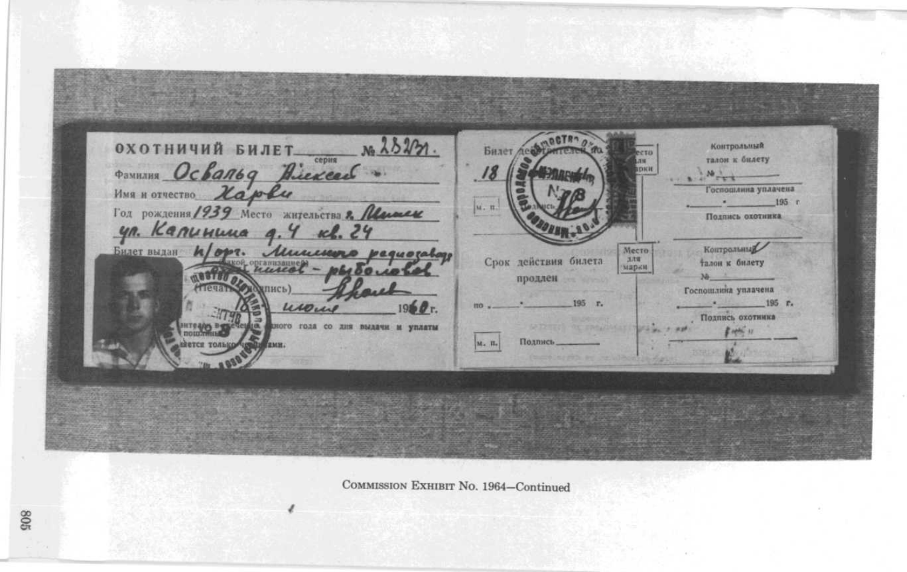охотничий билет.  $x_0$   $\lambda$   $\lambda$   $\gamma$ . Контрольный Билет де **STD** серия талон к билету  $n_{\rm H}$ **ФАМИЛИЯ Освальд Длексее** рки  $+1^{10}$  $\boldsymbol{B}$ Имя и отчество Харви Госпошлина уплачена  $\lambda$  $195 r$ Год рождения / 939 Место жительства 2. Первыем м. п. Подпись охотника yn. Kanununa g. 4 kl. 24 Контрольный Билет выдан Место Munesey equotato Срок действия билета 工作版 **Талон** к билету - Bouncil марки  $106100.10$ продлен Госпошлина уплачена кпись) 195 г. 195 r. Подпись охотника HITE 4/05 PER ного года со дня выдачи и уплаты  $14996 - 17$ вется только Подпись тами. M. H.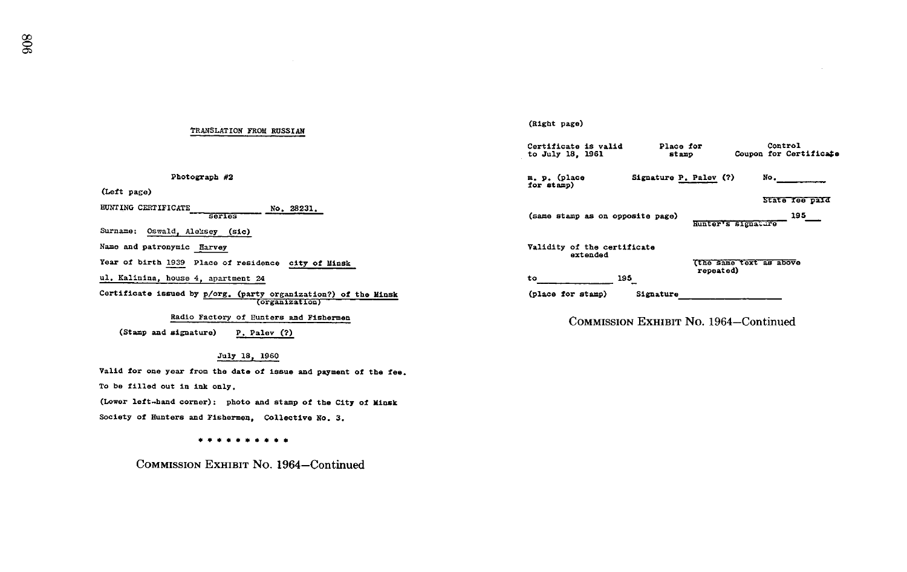### TRANSLATION FROM RUSSIAN

Photograph #2

(Left page)

HUNTING CERTIFICATE series No. 28231.

Surname: Oswald, Aleksey (sic)

Name and patronymic Harvey

Year of birth 1939 Place of residence city of Minsk

ul. Kalinina, house 4, apartment 24

Certificate issued by p/org. (party organization?) of the Minsk<br>Certain Certain Control of Tunism and Minimum

Radio Factory of Funters and Fishermen

(Stamp and signature) P. Palev (?)

### July 18, 1960

Valid for one year from the date of issue and payment of the fee.

To be tilled out in ink only .

(Lower left-hand corner): photo and stamp of the City of Minsk Society of Hunters and Fishermen, Collective No. 3.

\*\*\*\*\*\*\*\*\*\*

COMMISSION EXHIBIT No. 1964-Continued

## (Right page) Certificate is valid a Place for Control<br>to July 18, 1961 atamp Coupon for Cert Coupon for Certificate m. p. (place Signature P. Palev (?) for stamp) State fee paid (same stamp as on opposite page) 195 Hunter's signature Validity of the certificate extended (the same text as above repeated) to 195 (place for stamp) Signature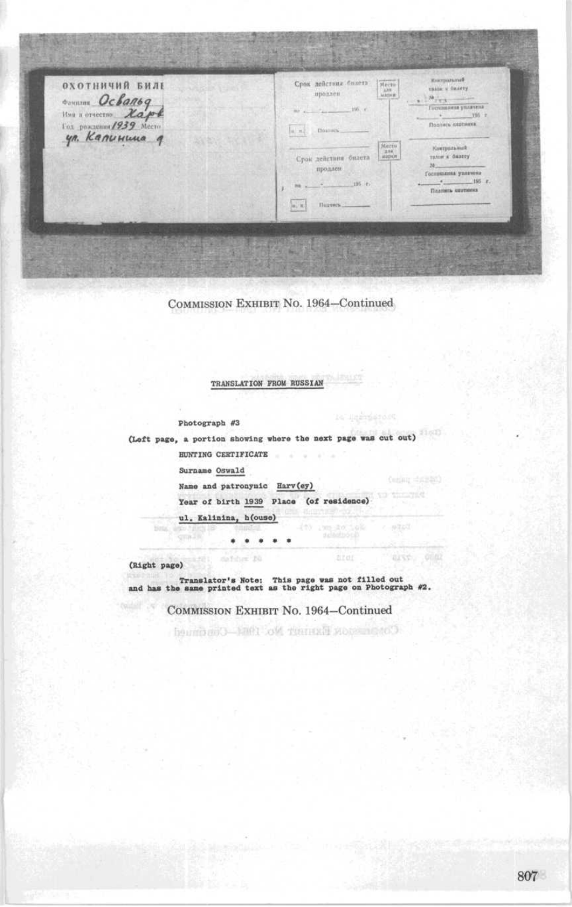

TRANSLATION FROM RUSSIAN

Photograph #3

STREET

(Left page, a portion showing where the next page was cut out) HUNTING CERTIFICATE

Surname Oswald

Name and patronymic Harv(ey)

Year of birth 1939 Place (of residence)

 $\text{Coulity} = \text{Coulity}$ 

arr one

 $n2.53$ 

ul. Kalinina, h(ouse)

. . . . .

(Right page)

Translator's Note : This page was not filled out and has the same printed text as the right page on Photograph #2 .

COMMISSION EXHIBIT No. 1964-ContinuedСоветном Билику № 190. 1990. - Область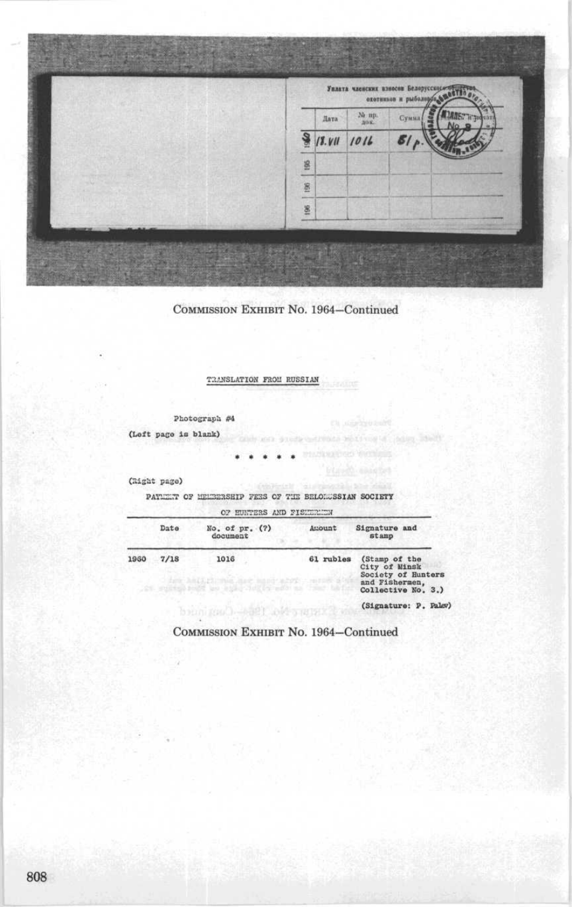

TRANSLATION FROM RUSSIAN

Photograph #4 (Left page is blank) ing adult and greats and

湓

(Right page)

PATIENT OF HELEERSHIP FEES OF THE BELONGSSIAN SOCIETY

|      | Date | No. of $pr.$ (?)<br>document                                                           | Auount    | Signature and<br>stamp                                                                       |
|------|------|----------------------------------------------------------------------------------------|-----------|----------------------------------------------------------------------------------------------|
| 1960 | 7/18 | 1016<br>The MILLING has nad aby cares<br>The source of the state of the control of the | 61 rubles | (Stamp of the<br>City of Minsk<br>Society of Hunters<br>and Fishermen,<br>Collective No. 3.) |
|      |      | bein root - MET and a profit                                                           |           | (Signature: P. Palev)                                                                        |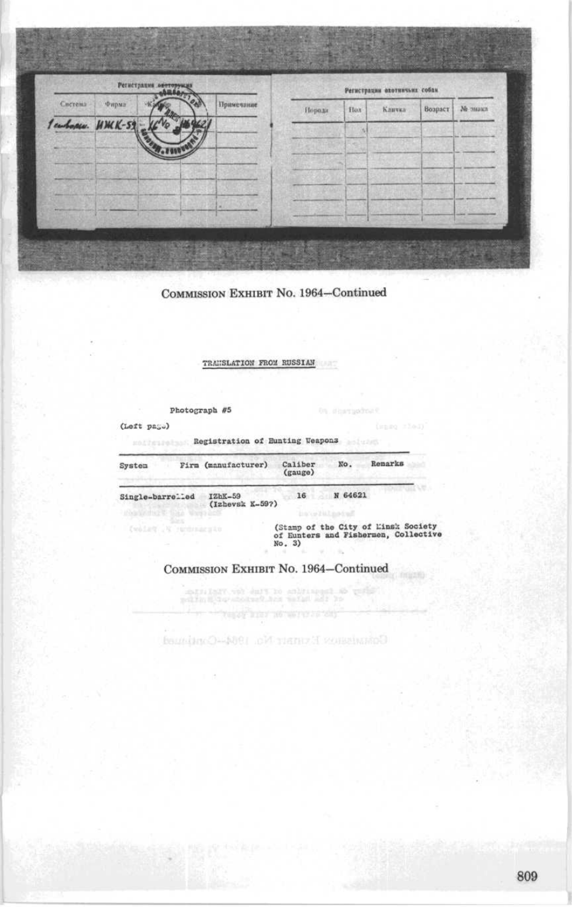| Регистрации опоторующа |                  |  |                          |            | Регистрации окотничьих собан |            |        |         |         |
|------------------------|------------------|--|--------------------------|------------|------------------------------|------------|--------|---------|---------|
| Система                | Фирма            |  |                          | Примечание | Нороди                       | <b>Hox</b> | Кличка | Возраст | Мелинки |
|                        | emborgen. HMK-59 |  |                          |            |                              |            |        |         |         |
|                        |                  |  |                          |            |                              |            |        |         |         |
|                        |                  |  |                          |            |                              |            |        |         |         |
|                        |                  |  |                          |            |                              |            |        |         |         |
|                        |                  |  | $\overline{\phantom{a}}$ |            |                              |            |        |         |         |

TRANSLATION FROM RUSSIAN

Photograph #5

 $(L$ oft  $p$ a $_{5}$ .)

| System           | Firm (manufacturer)          | Caliber<br>(gauge) | No.     | Remarks |
|------------------|------------------------------|--------------------|---------|---------|
| Single-barrelled | $IZbK-59$<br>(Izhevsk K-59?) | 16                 | N 64621 |         |

(Stamp of the City of Linsit Society of Eunters and Fisherman, Collective  $No. 3)$ 

COMMISSION EXHIBIT No. 1964-Continued $\frac{1}{2} \frac{1}{2} \frac{1}{2} \frac{1}{2} \frac{1}{2} \frac{1}{2} \frac{1}{2} \frac{1}{2} \frac{1}{2} \frac{1}{2} \frac{1}{2} \frac{1}{2} \frac{1}{2} \frac{1}{2} \frac{1}{2} \frac{1}{2} \frac{1}{2} \frac{1}{2} \frac{1}{2} \frac{1}{2} \frac{1}{2} \frac{1}{2} \frac{1}{2} \frac{1}{2} \frac{1}{2} \frac{1}{2} \frac{1}{2} \frac{1}{2} \frac{1}{2} \frac{1}{2} \frac{1}{2} \frac{$ 

.<br>לא הגידושות האי להגיל להורי Основном Кулянс Мал 1964-Одинова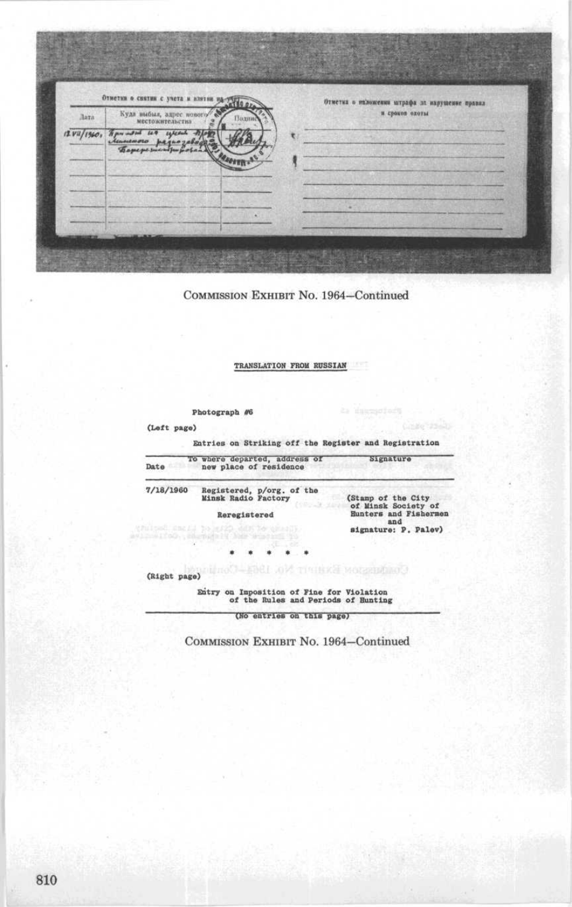Отметки о снятии с учета и взятии на Отметка о наложении штрафа за нарушение правил Куда выбыл, адрес но и сроков охоты Лата yune  $11 \frac{V2}{1360}$  $118$ ď.  $\overline{\phantom{a}}$ 頭尾

## TRANSLATION FROM RUSSIAN

Photograph #6

(Left page)

Entries on Striking off the Register and Registration

| Date                    | To where departed, address of<br>new place of residence                          | Signature                                                                 |  |
|-------------------------|----------------------------------------------------------------------------------|---------------------------------------------------------------------------|--|
| 7/18/1960               | Registered, p/org. of the<br>Minsk Radio Factory<br>Reregistered                 | (Stamp of the City<br>of Minsk Society of<br>Hunters and Fishermen<br>and |  |
| Line MoO., Shamping's h | fulted angli to write differentially                                             | signature: P. Palev)                                                      |  |
|                         |                                                                                  |                                                                           |  |
| (Right page)            | Confirmation Exercise No. 1964-Gordon                                            |                                                                           |  |
|                         | Entry on Imposition of Fine for Violation<br>of the Rules and Periods of Hunting |                                                                           |  |
|                         | (No entries on this page)                                                        |                                                                           |  |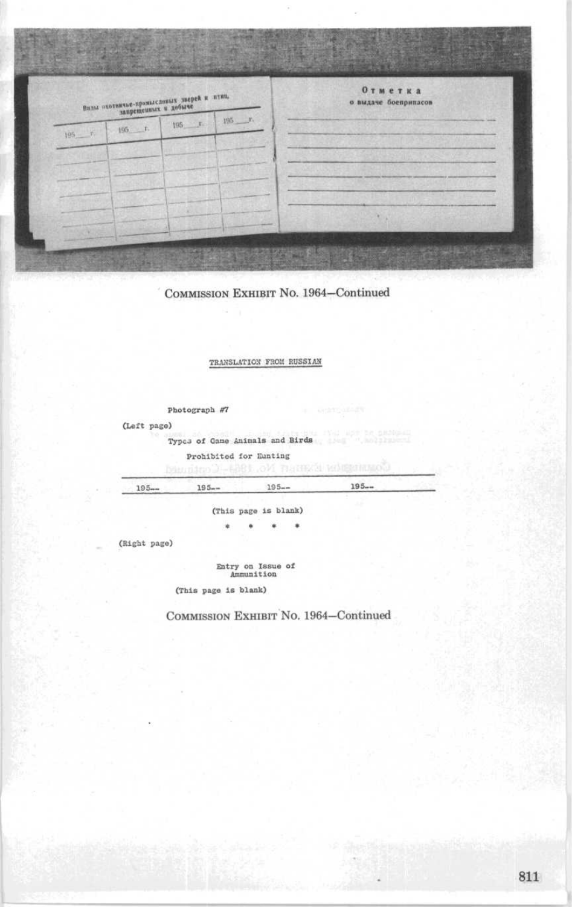

## TRANSLATION FROM RUSSIAN

photograph #7 (Left page) Types of Game Animals and Birds Prohibited for Eunting<br>Denumino 2-6001 OM THERE WAS STREET 195-- 195-- 195-- 195- (This page is blank) ×  $\omega$  $\mathbf{r}$  $\bullet$ (Right page)

Entry on Issue of Ammunition

(This page is blank)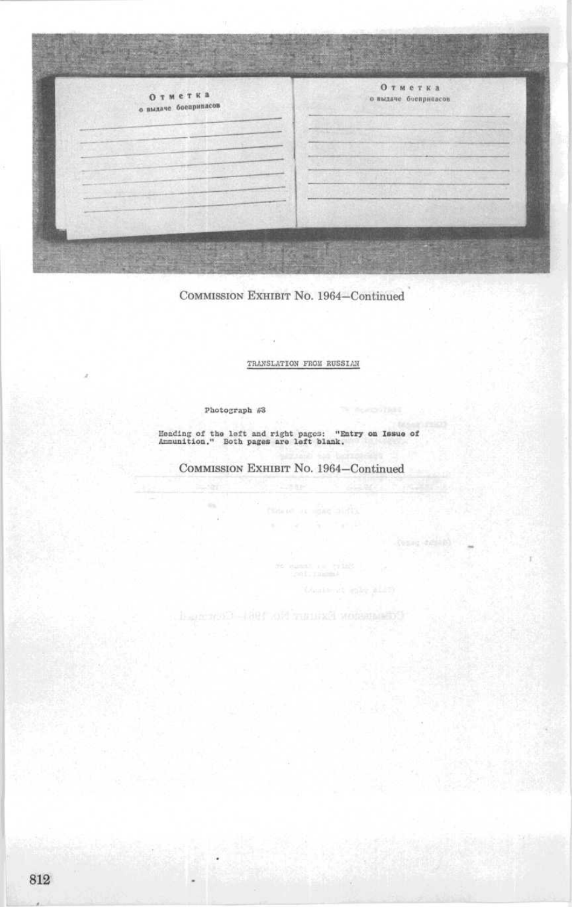Отметка **OTM**eTKa о выдаче боевричасов о выдаче боеприпасов

 $-14$ 

TRANSLATION FROM RUSSIAN

Photograph #3

Heading of the left and right pages: "Entry on Issue of<br>Ammunition." Both pages are left blank.

COMMISSION EXHIBIT No. 1964-Continued

Comment is a market for the community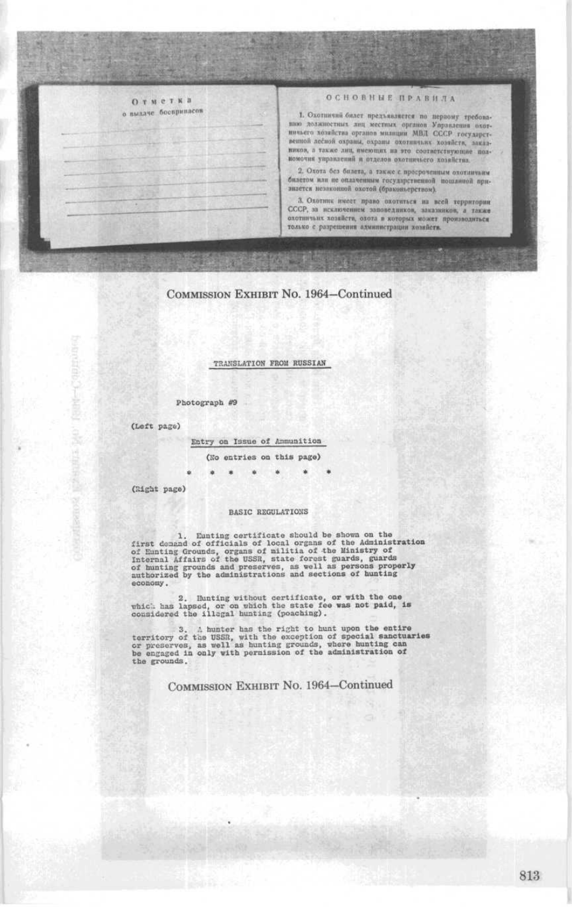## Отметка о выдаче босприваем

## ОСНОВНЫЕ ПРАВИЛА

1. Охотнични билет предъявляется по первому требова-<br>пию должностных лиц местных органов Управления охот-<br>ничьего хозяйства органов милиции МВЛ СССР государственной лебной охраны, охраны охотничьих хозяйств, заказников, а также лиц, имеющих на это соответствующие полномочия управлений и отделов охотинчьего хозяйства.

2. Охота без билета, а также с просроченным охотличьим билетом или не оплаченным государственной пошляной признается незаконной охотой (браконьерством).

3. Охотник имеет право охотнться на всей территории СССР, за исключением заповедников, заказников, а также только с разрешения администрации хозяйств.

## COMMISSION EXHIBIT No. 1964-Continued

**1996** - 1999

TRANSLATION FROM RUSSIAN

Photograph #9

(Left page)

Entry on Issue of Ammunition

(No entries on this page)

(Right page)

### **BASIC REGULATIONS**

1. Eunting cortificate should be shown on the<br>first desaind of officials of local organs of the Administration<br>of Eunting Grounds, organs of militia of the Ministry of<br>Internal Affairs of the USSR, state forcest guards, gu economy.

2. Hunting without certificate, or with the one<br>which has lapsed, or on which the state fee was not paid, is<br>considered the illegal hunting (poaching).

3. A hunter has the right to hunt upon the entire<br>torritory of the USSR, with the exception of special sanctuaries<br>or preserves, as well as hunting compared to engaged in only with persission of the administration of the grounds.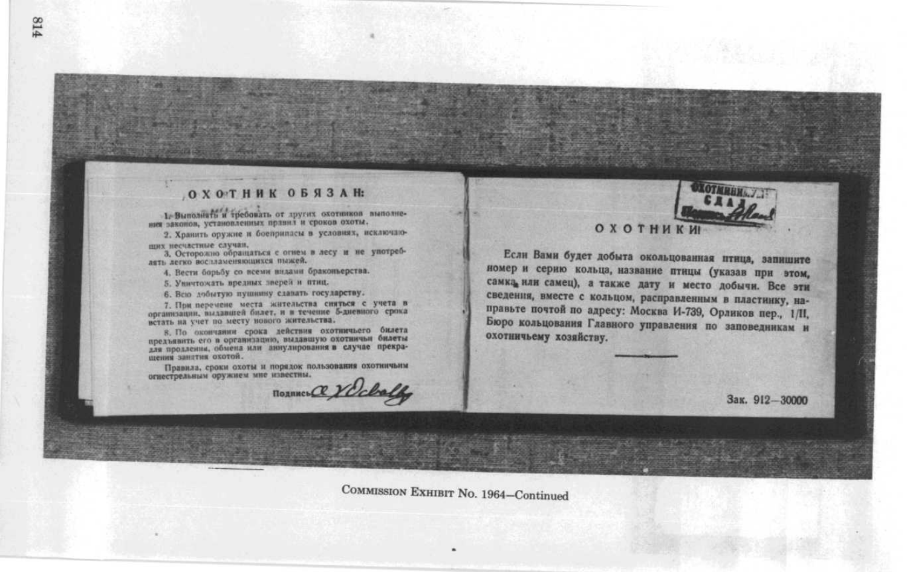# **ОХОТНИК ОБЯЗАН:**

1. Выполнять и требовать от других охотников выполнения законов, установленных прявил и сроков охоты.

2. Хранить оружие и боеврипасы в условиях, исключнощих несчастные случан,

3. Осторольно обращаться с огнем в лесу и не употреб-

4. Вести борьбу со всеми внаами браконьерства.

5. Уничтожать вредных лверей и птиц.

6. Всю добытую пушнину сдавать государству.

7. При перечене места жительства сияться с учета в организации, выдавшей билет, и в течение 5-диевного срока встать на учет по месту нового жительства.

8. По окончании срока действия охотничьего билета предлавить его в организацию, выдавшую охотничьні билеты щения занятия охотой.

Правила, сроки охоты и порядок пользования охотничьим огнестрельным оружием мне известны.

**ПОДПИСЬ ОС УСсвет** 



# **ОХОТНИКИ**

Если Вами будет добыта окольцованная птица, запишите номер и серию кольца, название птицы (указав при этом, самка или самец), а также дату и место добычи. Все эти сведения, вместе с кольцом, расправленным в пластинку, направьте почтой по адресу: Москва И-739, Орликов пер., 1/II, Бюро кольцования Главного управления по заповедникам и охотничьему хозяйству.

Зак. 912-30000